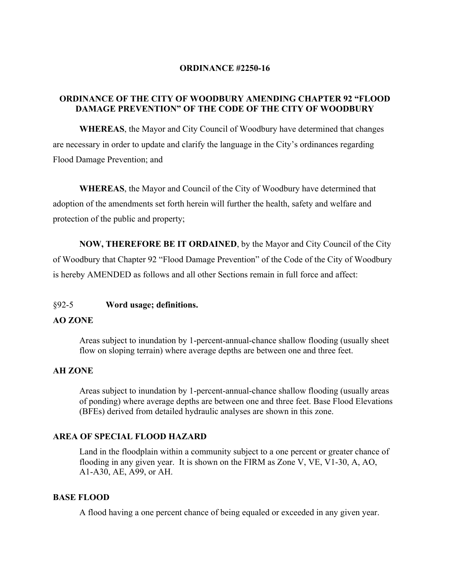### **ORDINANCE #2250-16**

## **ORDINANCE OF THE CITY OF WOODBURY AMENDING CHAPTER 92 "FLOOD DAMAGE PREVENTION" OF THE CODE OF THE CITY OF WOODBURY**

**WHEREAS**, the Mayor and City Council of Woodbury have determined that changes are necessary in order to update and clarify the language in the City's ordinances regarding Flood Damage Prevention; and

**WHEREAS**, the Mayor and Council of the City of Woodbury have determined that adoption of the amendments set forth herein will further the health, safety and welfare and protection of the public and property;

**NOW, THEREFORE BE IT ORDAINED**, by the Mayor and City Council of the City of Woodbury that Chapter 92 "Flood Damage Prevention" of the Code of the City of Woodbury is hereby AMENDED as follows and all other Sections remain in full force and affect:

#### §92-5 **Word usage; definitions.**

### **AO ZONE**

Areas subject to inundation by 1-percent-annual-chance shallow flooding (usually sheet flow on sloping terrain) where average depths are between one and three feet.

#### **AH ZONE**

Areas subject to inundation by 1-percent-annual-chance shallow flooding (usually areas of ponding) where average depths are between one and three feet. Base Flood Elevations (BFEs) derived from detailed hydraulic analyses are shown in this zone.

## **AREA OF SPECIAL FLOOD HAZARD**

Land in the floodplain within a community subject to a one percent or greater chance of flooding in any given year. It is shown on the FIRM as Zone V, VE, V1-30, A, AO, A1-A30, AE, A99, or AH.

#### **BASE FLOOD**

A flood having a one percent chance of being equaled or exceeded in any given year.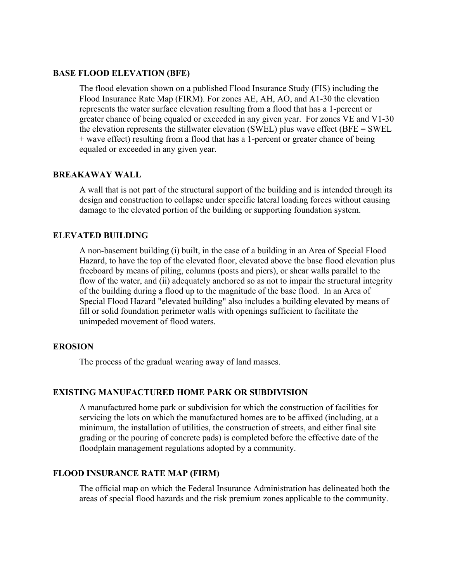#### **BASE FLOOD ELEVATION (BFE)**

The flood elevation shown on a published Flood Insurance Study (FIS) including the Flood Insurance Rate Map (FIRM). For zones AE, AH, AO, and A1-30 the elevation represents the water surface elevation resulting from a flood that has a 1-percent or greater chance of being equaled or exceeded in any given year. For zones VE and V1-30 the elevation represents the stillwater elevation (SWEL) plus wave effect (BFE = SWEL + wave effect) resulting from a flood that has a 1-percent or greater chance of being equaled or exceeded in any given year.

### **BREAKAWAY WALL**

A wall that is not part of the structural support of the building and is intended through its design and construction to collapse under specific lateral loading forces without causing damage to the elevated portion of the building or supporting foundation system.

## **ELEVATED BUILDING**

A non-basement building (i) built, in the case of a building in an Area of Special Flood Hazard, to have the top of the elevated floor, elevated above the base flood elevation plus freeboard by means of piling, columns (posts and piers), or shear walls parallel to the flow of the water, and (ii) adequately anchored so as not to impair the structural integrity of the building during a flood up to the magnitude of the base flood. In an Area of Special Flood Hazard "elevated building" also includes a building elevated by means of fill or solid foundation perimeter walls with openings sufficient to facilitate the unimpeded movement of flood waters.

#### **EROSION**

The process of the gradual wearing away of land masses.

### **EXISTING MANUFACTURED HOME PARK OR SUBDIVISION**

A manufactured home park or subdivision for which the construction of facilities for servicing the lots on which the manufactured homes are to be affixed (including, at a minimum, the installation of utilities, the construction of streets, and either final site grading or the pouring of concrete pads) is completed before the effective date of the floodplain management regulations adopted by a community.

## **FLOOD INSURANCE RATE MAP (FIRM)**

The official map on which the Federal Insurance Administration has delineated both the areas of special flood hazards and the risk premium zones applicable to the community.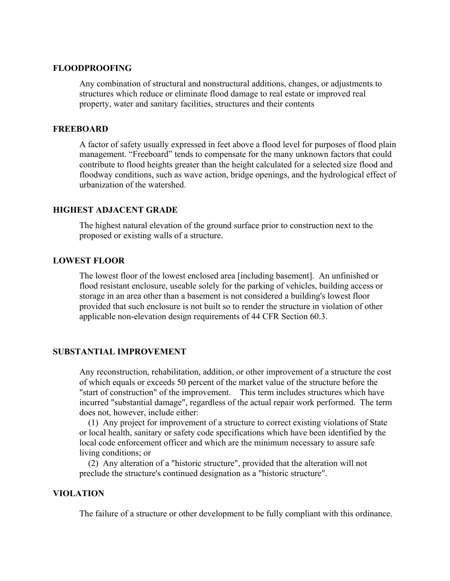### **FLOODPROOFING**

Any combination of structural and nonstructural additions, changes, or adjustments to structures which reduce or eliminate flood damage to real estate or improved real property, water and sanitary facilities, structures and their contents

#### **FREEBOARD**

A factor of safety usually expressed in feet above a flood level for purposes of flood plain management. "Freeboard" tends to compensate for the many unknown factors that could contribute to flood heights greater than the height calculated for a selected size flood and floodway conditions, such as wave action, bridge openings, and the hydrological effect of urbanization of the watershed.

### **HIGHEST ADJACENT GRADE**

The highest natural elevation of the ground surface prior to construction next to the proposed or existing walls of a structure.

### **LOWEST FLOOR**

The lowest floor of the lowest enclosed area [including basement]. An unfinished or flood resistant enclosure, useable solely for the parking of vehicles, building access or storage in an area other than a basement is not considered a building's lowest floor provided that such enclosure is not built so to render the structure in violation of other applicable non-elevation design requirements of 44 CFR Section 60.3.

#### **SUBSTANTIAL IMPROVEMENT**

Any reconstruction, rehabilitation, addition, or other improvement of a structure the cost of which equals or exceeds 50 percent of the market value of the structure before the "start of construction" of the improvement. This term includes structures which have incurred "substantial damage", regardless of the actual repair work performed. The term does not, however, include either:

 (1) Any project for improvement of a structure to correct existing violations of State or local health, sanitary or safety code specifications which have been identified by the local code enforcement officer and which are the minimum necessary to assure safe living conditions; or

 (2) Any alteration of a "historic structure", provided that the alteration will not preclude the structure's continued designation as a "historic structure".

## **VIOLATION**

The failure of a structure or other development to be fully compliant with this ordinance.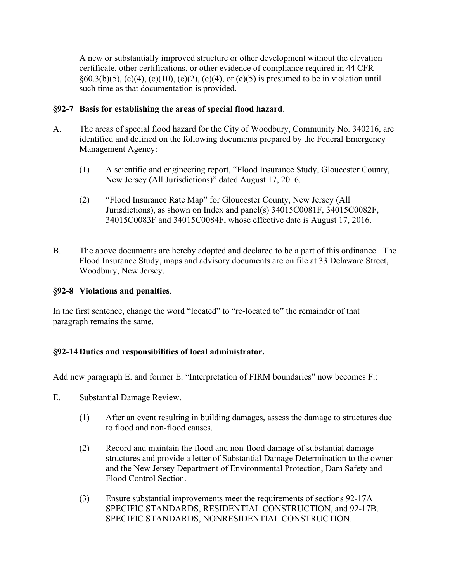A new or substantially improved structure or other development without the elevation certificate, other certifications, or other evidence of compliance required in 44 CFR  $§60.3(b)(5)$ , (c)(4), (c)(10), (e)(2), (e)(4), or (e)(5) is presumed to be in violation until such time as that documentation is provided.

# **§92-7 Basis for establishing the areas of special flood hazard**.

- A. The areas of special flood hazard for the City of Woodbury, Community No. 340216, are identified and defined on the following documents prepared by the Federal Emergency Management Agency:
	- (1) A scientific and engineering report, "Flood Insurance Study, Gloucester County, New Jersey (All Jurisdictions)" dated August 17, 2016.
	- (2) "Flood Insurance Rate Map" for Gloucester County, New Jersey (All Jurisdictions), as shown on Index and panel(s) 34015C0081F, 34015C0082F, 34015C0083F and 34015C0084F, whose effective date is August 17, 2016.
- B. The above documents are hereby adopted and declared to be a part of this ordinance. The Flood Insurance Study, maps and advisory documents are on file at 33 Delaware Street, Woodbury, New Jersey.

# **§92-8 Violations and penalties**.

In the first sentence, change the word "located" to "re-located to" the remainder of that paragraph remains the same.

# **§92-14 Duties and responsibilities of local administrator.**

Add new paragraph E. and former E. "Interpretation of FIRM boundaries" now becomes F.:

- E. Substantial Damage Review.
	- (1) After an event resulting in building damages, assess the damage to structures due to flood and non-flood causes.
	- (2) Record and maintain the flood and non-flood damage of substantial damage structures and provide a letter of Substantial Damage Determination to the owner and the New Jersey Department of Environmental Protection, Dam Safety and Flood Control Section.
	- (3) Ensure substantial improvements meet the requirements of sections 92-17A SPECIFIC STANDARDS, RESIDENTIAL CONSTRUCTION, and 92-17B, SPECIFIC STANDARDS, NONRESIDENTIAL CONSTRUCTION.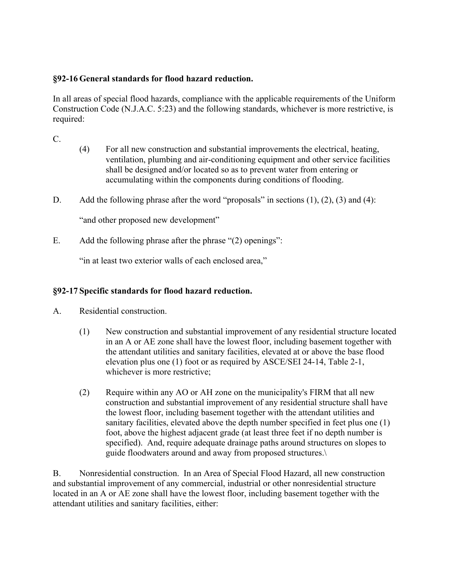# **§92-16 General standards for flood hazard reduction.**

In all areas of special flood hazards, compliance with the applicable requirements of the Uniform Construction Code (N.J.A.C. 5:23) and the following standards, whichever is more restrictive, is required:

C.

- (4) For all new construction and substantial improvements the electrical, heating, ventilation, plumbing and air-conditioning equipment and other service facilities shall be designed and/or located so as to prevent water from entering or accumulating within the components during conditions of flooding.
- D. Add the following phrase after the word "proposals" in sections (1), (2), (3) and (4):

"and other proposed new development"

E. Add the following phrase after the phrase "(2) openings":

"in at least two exterior walls of each enclosed area,"

# **§92-17 Specific standards for flood hazard reduction.**

- A. Residential construction.
	- (1) New construction and substantial improvement of any residential structure located in an A or AE zone shall have the lowest floor, including basement together with the attendant utilities and sanitary facilities, elevated at or above the base flood elevation plus one (1) foot or as required by ASCE/SEI 24-14, Table 2-1, whichever is more restrictive;
	- (2) Require within any AO or AH zone on the municipality's FIRM that all new construction and substantial improvement of any residential structure shall have the lowest floor, including basement together with the attendant utilities and sanitary facilities, elevated above the depth number specified in feet plus one (1) foot, above the highest adjacent grade (at least three feet if no depth number is specified). And, require adequate drainage paths around structures on slopes to guide floodwaters around and away from proposed structures.\

B. Nonresidential construction. In an Area of Special Flood Hazard, all new construction and substantial improvement of any commercial, industrial or other nonresidential structure located in an A or AE zone shall have the lowest floor, including basement together with the attendant utilities and sanitary facilities, either: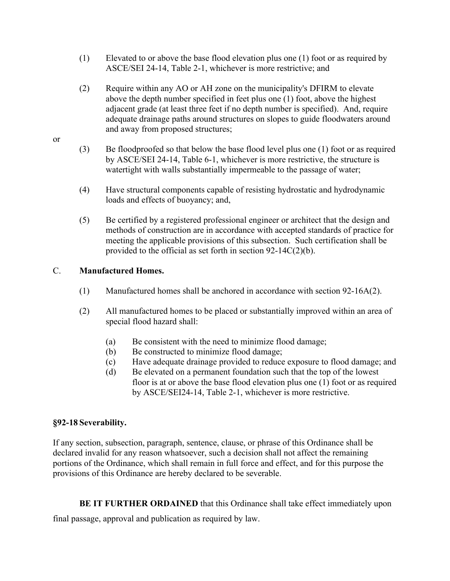- (1) Elevated to or above the base flood elevation plus one (1) foot or as required by ASCE/SEI 24-14, Table 2-1, whichever is more restrictive; and
- (2) Require within any AO or AH zone on the municipality's DFIRM to elevate above the depth number specified in feet plus one (1) foot, above the highest adjacent grade (at least three feet if no depth number is specified). And, require adequate drainage paths around structures on slopes to guide floodwaters around and away from proposed structures;
- (3) Be floodproofed so that below the base flood level plus one (1) foot or as required by ASCE/SEI 24-14, Table 6-1, whichever is more restrictive, the structure is watertight with walls substantially impermeable to the passage of water;
- (4) Have structural components capable of resisting hydrostatic and hydrodynamic loads and effects of buoyancy; and,
- (5) Be certified by a registered professional engineer or architect that the design and methods of construction are in accordance with accepted standards of practice for meeting the applicable provisions of this subsection. Such certification shall be provided to the official as set forth in section 92-14C(2)(b).

# C. **Manufactured Homes.**

- (1) Manufactured homes shall be anchored in accordance with section 92-16A(2).
- (2) All manufactured homes to be placed or substantially improved within an area of special flood hazard shall:
	- (a) Be consistent with the need to minimize flood damage;
	- (b) Be constructed to minimize flood damage;
	- (c) Have adequate drainage provided to reduce exposure to flood damage; and
	- (d) Be elevated on a permanent foundation such that the top of the lowest floor is at or above the base flood elevation plus one (1) foot or as required by ASCE/SEI24-14, Table 2-1, whichever is more restrictive.

# **§92-18 Severability.**

If any section, subsection, paragraph, sentence, clause, or phrase of this Ordinance shall be declared invalid for any reason whatsoever, such a decision shall not affect the remaining portions of the Ordinance, which shall remain in full force and effect, and for this purpose the provisions of this Ordinance are hereby declared to be severable.

**BE IT FURTHER ORDAINED** that this Ordinance shall take effect immediately upon

final passage, approval and publication as required by law.

or